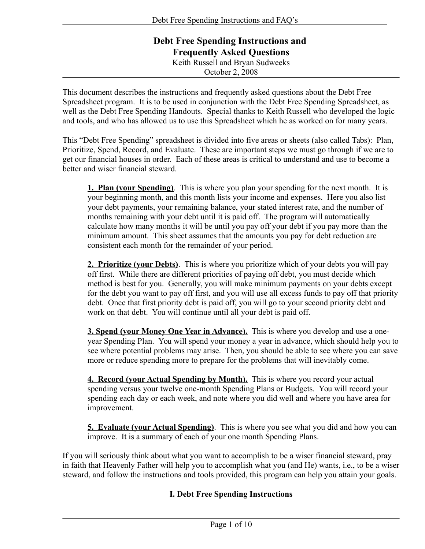# **Debt Free Spending Instructions and Frequently Asked Questions** Keith Russell and Bryan Sudweeks October 2, 2008

This document describes the instructions and frequently asked questions about the Debt Free Spreadsheet program. It is to be used in conjunction with the Debt Free Spending Spreadsheet, as well as the Debt Free Spending Handouts. Special thanks to Keith Russell who developed the logic and tools, and who has allowed us to use this Spreadsheet which he as worked on for many years.

This "Debt Free Spending" spreadsheet is divided into five areas or sheets (also called Tabs): Plan, Prioritize, Spend, Record, and Evaluate. These are important steps we must go through if we are to get our financial houses in order. Each of these areas is critical to understand and use to become a better and wiser financial steward.

**1. Plan (your Spending)**. This is where you plan your spending for the next month. It is your beginning month, and this month lists your income and expenses. Here you also list your debt payments, your remaining balance, your stated interest rate, and the number of months remaining with your debt until it is paid off. The program will automatically calculate how many months it will be until you pay off your debt if you pay more than the minimum amount. This sheet assumes that the amounts you pay for debt reduction are consistent each month for the remainder of your period.

**2. Prioritize (your Debts)**. This is where you prioritize which of your debts you will pay off first. While there are different priorities of paying off debt, you must decide which method is best for you. Generally, you will make minimum payments on your debts except for the debt you want to pay off first, and you will use all excess funds to pay off that priority debt. Once that first priority debt is paid off, you will go to your second priority debt and work on that debt. You will continue until all your debt is paid off.

**3. Spend (your Money One Year in Advance).** This is where you develop and use a oneyear Spending Plan. You will spend your money a year in advance, which should help you to see where potential problems may arise. Then, you should be able to see where you can save more or reduce spending more to prepare for the problems that will inevitably come.

**4. Record (your Actual Spending by Month).** This is where you record your actual spending versus your twelve one-month Spending Plans or Budgets. You will record your spending each day or each week, and note where you did well and where you have area for improvement.

**5. Evaluate (your Actual Spending)**. This is where you see what you did and how you can improve. It is a summary of each of your one month Spending Plans.

If you will seriously think about what you want to accomplish to be a wiser financial steward, pray in faith that Heavenly Father will help you to accomplish what you (and He) wants, i.e., to be a wiser steward, and follow the instructions and tools provided, this program can help you attain your goals.

# **I. Debt Free Spending Instructions**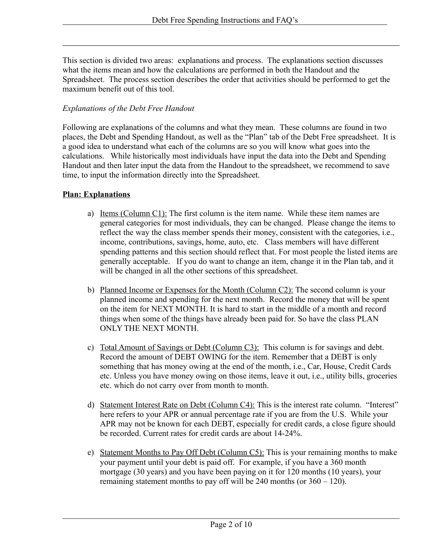This section is divided two areas: explanations and process. The explanations section discusses what the items mean and how the calculations are performed in both the Handout and the Spreadsheet. The process section describes the order that activities should be performed to get the maximum benefit out of this tool.

## *Explanations of the Debt Free Handout*

Following are explanations of the columns and what they mean. These columns are found in two places, the Debt and Spending Handout, as well as the "Plan" tab of the Debt Free spreadsheet. It is a good idea to understand what each of the columns are so you will know what goes into the calculations. While historically most individuals have input the data into the Debt and Spending Handout and then later input the data from the Handout to the spreadsheet, we recommend to save time, to input the information directly into the Spreadsheet.

## **Plan: Explanations**

- a) Items (Column C1): The first column is the item name. While these item names are general categories for most individuals, they can be changed. Please change the items to reflect the way the class member spends their money, consistent with the categories, i.e., income, contributions, savings, home, auto, etc. Class members will have different spending patterns and this section should reflect that. For most people the listed items are generally acceptable. If you do want to change an item, change it in the Plan tab, and it will be changed in all the other sections of this spreadsheet.
- b) Planned Income or Expenses for the Month (Column C2): The second column is your planned income and spending for the next month. Record the money that will be spent on the item for NEXT MONTH. It is hard to start in the middle of a month and record things when some of the things have already been paid for. So have the class PLAN ONLY THE NEXT MONTH.
- c) Total Amount of Savings or Debt (Column C3): This column is for savings and debt. Record the amount of DEBT OWING for the item. Remember that a DEBT is only something that has money owing at the end of the month, i.e., Car, House, Credit Cards etc. Unless you have money owing on those items, leave it out, i.e., utility bills, groceries etc. which do not carry over from month to month.
- d) Statement Interest Rate on Debt (Column C4): This is the interest rate column. "Interest" here refers to your APR or annual percentage rate if you are from the U.S. While your APR may not be known for each DEBT, especially for credit cards, a close figure should be recorded. Current rates for credit cards are about 14-24%.
- e) Statement Months to Pay Off Debt (Column C5): This is your remaining months to make your payment until your debt is paid off. For example, if you have a 360 month mortgage (30 years) and you have been paying on it for 120 months (10 years), your remaining statement months to pay off will be 240 months (or 360 – 120).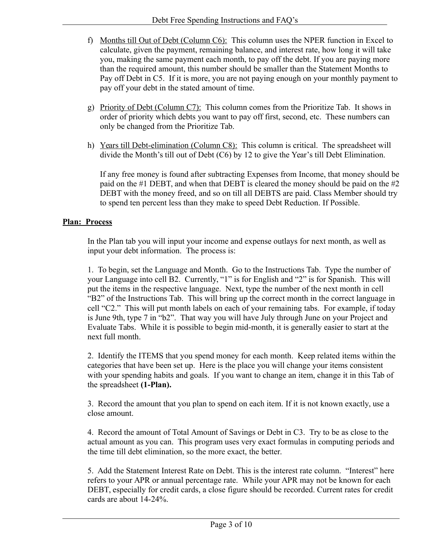- f) Months till Out of Debt (Column C6): This column uses the NPER function in Excel to calculate, given the payment, remaining balance, and interest rate, how long it will take you, making the same payment each month, to pay off the debt. If you are paying more than the required amount, this number should be smaller than the Statement Months to Pay off Debt in C5. If it is more, you are not paying enough on your monthly payment to pay off your debt in the stated amount of time.
- g) Priority of Debt (Column C7): This column comes from the Prioritize Tab. It shows in order of priority which debts you want to pay off first, second, etc. These numbers can only be changed from the Prioritize Tab.
- h) Years till Debt-elimination (Column C8): This column is critical. The spreadsheet will divide the Month's till out of Debt (C6) by 12 to give the Year's till Debt Elimination.

If any free money is found after subtracting Expenses from Income, that money should be paid on the #1 DEBT, and when that DEBT is cleared the money should be paid on the #2 DEBT with the money freed, and so on till all DEBTS are paid. Class Member should try to spend ten percent less than they make to speed Debt Reduction. If Possible.

## **Plan: Process**

In the Plan tab you will input your income and expense outlays for next month, as well as input your debt information. The process is:

1. To begin, set the Language and Month. Go to the Instructions Tab. Type the number of your Language into cell B2. Currently, "1" is for English and "2" is for Spanish. This will put the items in the respective language. Next, type the number of the next month in cell "B2" of the Instructions Tab. This will bring up the correct month in the correct language in cell "C2." This will put month labels on each of your remaining tabs. For example, if today is June 9th, type 7 in "b2". That way you will have July through June on your Project and Evaluate Tabs. While it is possible to begin mid-month, it is generally easier to start at the next full month.

2. Identify the ITEMS that you spend money for each month. Keep related items within the categories that have been set up. Here is the place you will change your items consistent with your spending habits and goals. If you want to change an item, change it in this Tab of the spreadsheet **(1-Plan).**

3. Record the amount that you plan to spend on each item. If it is not known exactly, use a close amount.

4. Record the amount of Total Amount of Savings or Debt in C3. Try to be as close to the actual amount as you can. This program uses very exact formulas in computing periods and the time till debt elimination, so the more exact, the better.

5. Add the Statement Interest Rate on Debt. This is the interest rate column. "Interest" here refers to your APR or annual percentage rate. While your APR may not be known for each DEBT, especially for credit cards, a close figure should be recorded. Current rates for credit cards are about 14-24%.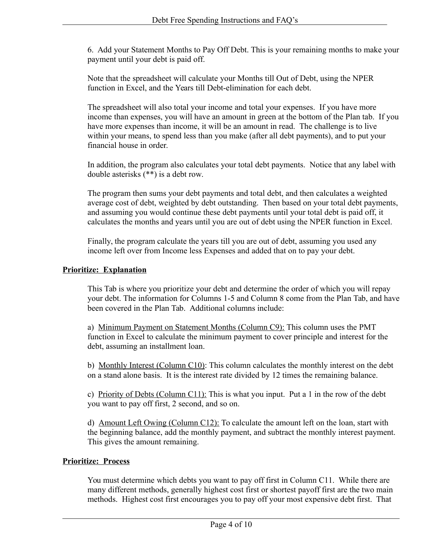6. Add your Statement Months to Pay Off Debt. This is your remaining months to make your payment until your debt is paid off.

Note that the spreadsheet will calculate your Months till Out of Debt, using the NPER function in Excel, and the Years till Debt-elimination for each debt.

The spreadsheet will also total your income and total your expenses. If you have more income than expenses, you will have an amount in green at the bottom of the Plan tab. If you have more expenses than income, it will be an amount in read. The challenge is to live within your means, to spend less than you make (after all debt payments), and to put your financial house in order.

In addition, the program also calculates your total debt payments. Notice that any label with double asterisks (\*\*) is a debt row.

The program then sums your debt payments and total debt, and then calculates a weighted average cost of debt, weighted by debt outstanding. Then based on your total debt payments, and assuming you would continue these debt payments until your total debt is paid off, it calculates the months and years until you are out of debt using the NPER function in Excel.

Finally, the program calculate the years till you are out of debt, assuming you used any income left over from Income less Expenses and added that on to pay your debt.

## **Prioritize: Explanation**

This Tab is where you prioritize your debt and determine the order of which you will repay your debt. The information for Columns 1-5 and Column 8 come from the Plan Tab, and have been covered in the Plan Tab. Additional columns include:

a) Minimum Payment on Statement Months (Column C9): This column uses the PMT function in Excel to calculate the minimum payment to cover principle and interest for the debt, assuming an installment loan.

b) Monthly Interest (Column C10): This column calculates the monthly interest on the debt on a stand alone basis. It is the interest rate divided by 12 times the remaining balance.

c) Priority of Debts (Column C11): This is what you input. Put a 1 in the row of the debt you want to pay off first, 2 second, and so on.

d) Amount Left Owing (Column C12): To calculate the amount left on the loan, start with the beginning balance, add the monthly payment, and subtract the monthly interest payment. This gives the amount remaining.

## **Prioritize: Process**

You must determine which debts you want to pay off first in Column C11. While there are many different methods, generally highest cost first or shortest payoff first are the two main methods. Highest cost first encourages you to pay off your most expensive debt first. That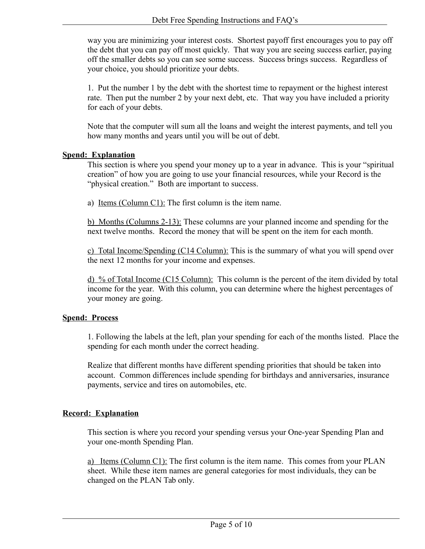way you are minimizing your interest costs. Shortest payoff first encourages you to pay off the debt that you can pay off most quickly. That way you are seeing success earlier, paying off the smaller debts so you can see some success. Success brings success. Regardless of your choice, you should prioritize your debts.

1. Put the number 1 by the debt with the shortest time to repayment or the highest interest rate. Then put the number 2 by your next debt, etc. That way you have included a priority for each of your debts.

Note that the computer will sum all the loans and weight the interest payments, and tell you how many months and years until you will be out of debt.

#### **Spend: Explanation**

This section is where you spend your money up to a year in advance. This is your "spiritual creation" of how you are going to use your financial resources, while your Record is the "physical creation." Both are important to success.

a) Items (Column C1): The first column is the item name.

b) Months (Columns 2-13): These columns are your planned income and spending for the next twelve months. Record the money that will be spent on the item for each month.

c) Total Income/Spending (C14 Column): This is the summary of what you will spend over the next 12 months for your income and expenses.

d) % of Total Income (C15 Column): This column is the percent of the item divided by total income for the year. With this column, you can determine where the highest percentages of your money are going.

## **Spend: Process**

1. Following the labels at the left, plan your spending for each of the months listed. Place the spending for each month under the correct heading.

Realize that different months have different spending priorities that should be taken into account. Common differences include spending for birthdays and anniversaries, insurance payments, service and tires on automobiles, etc.

## **Record: Explanation**

This section is where you record your spending versus your One-year Spending Plan and your one-month Spending Plan.

a) Items (Column C1): The first column is the item name. This comes from your PLAN sheet. While these item names are general categories for most individuals, they can be changed on the PLAN Tab only.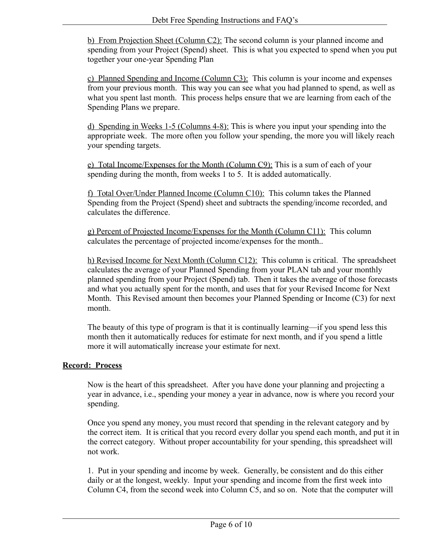b) From Projection Sheet (Column C2): The second column is your planned income and spending from your Project (Spend) sheet. This is what you expected to spend when you put together your one-year Spending Plan

c) Planned Spending and Income (Column C3): This column is your income and expenses from your previous month. This way you can see what you had planned to spend, as well as what you spent last month. This process helps ensure that we are learning from each of the Spending Plans we prepare.

d) Spending in Weeks 1-5 (Columns 4-8): This is where you input your spending into the appropriate week. The more often you follow your spending, the more you will likely reach your spending targets.

e) Total Income/Expenses for the Month (Column C9): This is a sum of each of your spending during the month, from weeks 1 to 5. It is added automatically.

f) Total Over/Under Planned Income (Column C10): This column takes the Planned Spending from the Project (Spend) sheet and subtracts the spending/income recorded, and calculates the difference.

g) Percent of Projected Income/Expenses for the Month (Column C11): This column calculates the percentage of projected income/expenses for the month..

h) Revised Income for Next Month (Column C12): This column is critical. The spreadsheet calculates the average of your Planned Spending from your PLAN tab and your monthly planned spending from your Project (Spend) tab. Then it takes the average of those forecasts and what you actually spent for the month, and uses that for your Revised Income for Next Month. This Revised amount then becomes your Planned Spending or Income (C3) for next month.

The beauty of this type of program is that it is continually learning—if you spend less this month then it automatically reduces for estimate for next month, and if you spend a little more it will automatically increase your estimate for next.

## **Record: Process**

Now is the heart of this spreadsheet. After you have done your planning and projecting a year in advance, i.e., spending your money a year in advance, now is where you record your spending.

Once you spend any money, you must record that spending in the relevant category and by the correct item. It is critical that you record every dollar you spend each month, and put it in the correct category. Without proper accountability for your spending, this spreadsheet will not work.

1. Put in your spending and income by week. Generally, be consistent and do this either daily or at the longest, weekly. Input your spending and income from the first week into Column C4, from the second week into Column C5, and so on. Note that the computer will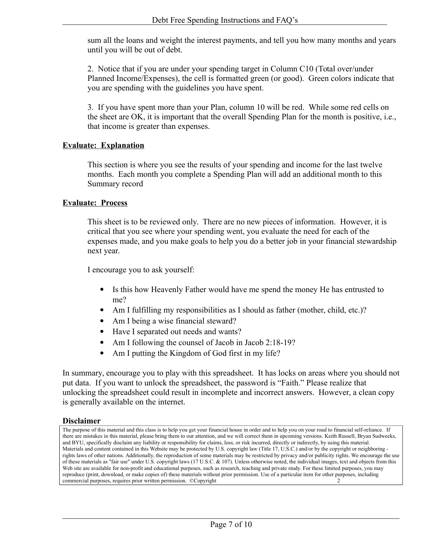sum all the loans and weight the interest payments, and tell you how many months and years until you will be out of debt.

2. Notice that if you are under your spending target in Column C10 (Total over/under Planned Income/Expenses), the cell is formatted green (or good). Green colors indicate that you are spending with the guidelines you have spent.

3. If you have spent more than your Plan, column 10 will be red. While some red cells on the sheet are OK, it is important that the overall Spending Plan for the month is positive, i.e., that income is greater than expenses.

#### **Evaluate: Explanation**

This section is where you see the results of your spending and income for the last twelve months. Each month you complete a Spending Plan will add an additional month to this Summary record

#### **Evaluate: Process**

This sheet is to be reviewed only. There are no new pieces of information. However, it is critical that you see where your spending went, you evaluate the need for each of the expenses made, and you make goals to help you do a better job in your financial stewardship next year.

I encourage you to ask yourself:

- Is this how Heavenly Father would have me spend the money He has entrusted to me?
- Am I fulfilling my responsibilities as I should as father (mother, child, etc.)?
- Am I being a wise financial steward?
- Have I separated out needs and wants?
- Am I following the counsel of Jacob in Jacob 2:18-19?
- Am I putting the Kingdom of God first in my life?

In summary, encourage you to play with this spreadsheet. It has locks on areas where you should not put data. If you want to unlock the spreadsheet, the password is "Faith." Please realize that unlocking the spreadsheet could result in incomplete and incorrect answers. However, a clean copy is generally available on the internet.

#### **Disclaimer**

The purpose of this material and this class is to help you get your financial house in order and to help you on your road to financial self-reliance. If there are mistakes in this material, please bring them to our attention, and we will correct them in upcoming versions. Keith Russell, Bryan Sudweeks, and BYU, specifically disclaim any liability or responsibility for claims, loss, or risk incurred, directly or indirectly, by using this material. Materials and content contained in this Website may be protected by U.S. copyright law (Title 17, U.S.C.) and/or by the copyright or neighboring rights laws of other nations. Additionally, the reproduction of some materials may be restricted by privacy and/or publicity rights. We encourage the use of these materials as "fair use" under U.S. copyright laws (17 U.S.C. & 107). Unless otherwise noted, the individual images, text and objects from this Web site are available for non-profit and educational purposes, such as research, teaching and private study. For these limited purposes, you may reproduce (print, download, or make copies of) these materials without prior permission. Use of a particular item for other purposes, including commercial purposes, requires prior written permission. ©Copyright 2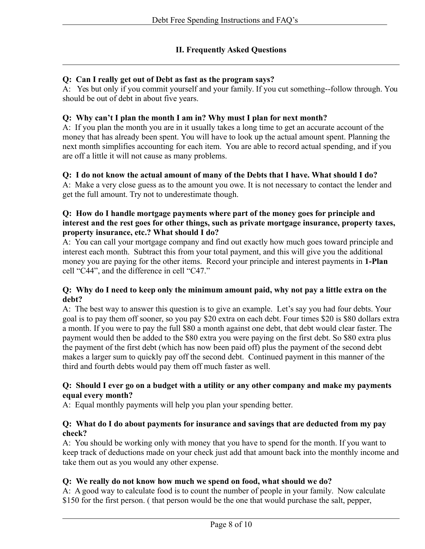## **II. Frequently Asked Questions**

### **Q: Can I really get out of Debt as fast as the program says?**

A: Yes but only if you commit yourself and your family. If you cut something--follow through. You should be out of debt in about five years.

#### **Q: Why can't I plan the month I am in? Why must I plan for next month?**

A: If you plan the month you are in it usually takes a long time to get an accurate account of the money that has already been spent. You will have to look up the actual amount spent. Planning the next month simplifies accounting for each item. You are able to record actual spending, and if you are off a little it will not cause as many problems.

#### **Q: I do not know the actual amount of many of the Debts that I have. What should I do?**

A: Make a very close guess as to the amount you owe. It is not necessary to contact the lender and get the full amount. Try not to underestimate though.

### **Q: How do I handle mortgage payments where part of the money goes for principle and interest and the rest goes for other things, such as private mortgage insurance, property taxes, property insurance, etc.? What should I do?**

A: You can call your mortgage company and find out exactly how much goes toward principle and interest each month. Subtract this from your total payment, and this will give you the additional money you are paying for the other items. Record your principle and interest payments in **1-Plan** cell "C44", and the difference in cell "C47."

#### **Q: Why do I need to keep only the minimum amount paid, why not pay a little extra on the debt?**

A: The best way to answer this question is to give an example. Let's say you had four debts. Your goal is to pay them off sooner, so you pay \$20 extra on each debt. Four times \$20 is \$80 dollars extra a month. If you were to pay the full \$80 a month against one debt, that debt would clear faster. The payment would then be added to the \$80 extra you were paying on the first debt. So \$80 extra plus the payment of the first debt (which has now been paid off) plus the payment of the second debt makes a larger sum to quickly pay off the second debt. Continued payment in this manner of the third and fourth debts would pay them off much faster as well.

#### **Q: Should I ever go on a budget with a utility or any other company and make my payments equal every month?**

A: Equal monthly payments will help you plan your spending better.

#### **Q: What do I do about payments for insurance and savings that are deducted from my pay check?**

A: You should be working only with money that you have to spend for the month. If you want to keep track of deductions made on your check just add that amount back into the monthly income and take them out as you would any other expense.

#### **Q: We really do not know how much we spend on food, what should we do?**

A: A good way to calculate food is to count the number of people in your family. Now calculate \$150 for the first person. (that person would be the one that would purchase the salt, pepper,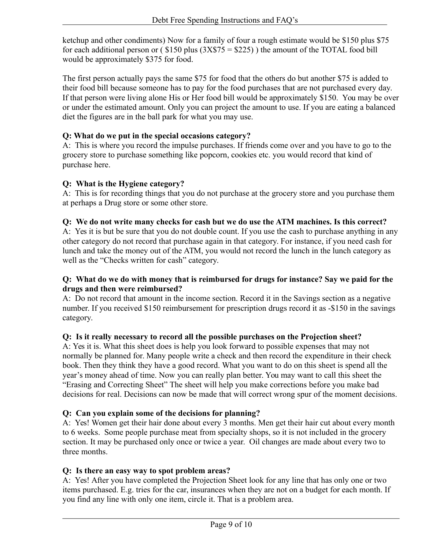ketchup and other condiments) Now for a family of four a rough estimate would be \$150 plus \$75 for each additional person or ( $$150$  plus  $(3X$75 = $225)$ ) the amount of the TOTAL food bill would be approximately \$375 for food.

The first person actually pays the same \$75 for food that the others do but another \$75 is added to their food bill because someone has to pay for the food purchases that are not purchased every day. If that person were living alone His or Her food bill would be approximately \$150. You may be over or under the estimated amount. Only you can project the amount to use. If you are eating a balanced diet the figures are in the ball park for what you may use.

## **Q: What do we put in the special occasions category?**

A: This is where you record the impulse purchases. If friends come over and you have to go to the grocery store to purchase something like popcorn, cookies etc. you would record that kind of purchase here.

## **Q: What is the Hygiene category?**

A: This is for recording things that you do not purchase at the grocery store and you purchase them at perhaps a Drug store or some other store.

## **Q: We do not write many checks for cash but we do use the ATM machines. Is this correct?**

A: Yes it is but be sure that you do not double count. If you use the cash to purchase anything in any other category do not record that purchase again in that category. For instance, if you need cash for lunch and take the money out of the ATM, you would not record the lunch in the lunch category as well as the "Checks written for cash" category.

## **Q: What do we do with money that is reimbursed for drugs for instance? Say we paid for the drugs and then were reimbursed?**

A: Do not record that amount in the income section. Record it in the Savings section as a negative number. If you received \$150 reimbursement for prescription drugs record it as -\$150 in the savings category.

## **Q: Is it really necessary to record all the possible purchases on the Projection sheet?**

A: Yes it is. What this sheet does is help you look forward to possible expenses that may not normally be planned for. Many people write a check and then record the expenditure in their check book. Then they think they have a good record. What you want to do on this sheet is spend all the year's money ahead of time. Now you can really plan better. You may want to call this sheet the "Erasing and Correcting Sheet" The sheet will help you make corrections before you make bad decisions for real. Decisions can now be made that will correct wrong spur of the moment decisions.

## **Q: Can you explain some of the decisions for planning?**

A: Yes! Women get their hair done about every 3 months. Men get their hair cut about every month to 6 weeks. Some people purchase meat from specialty shops, so it is not included in the grocery section. It may be purchased only once or twice a year. Oil changes are made about every two to three months.

## **Q: Is there an easy way to spot problem areas?**

A: Yes! After you have completed the Projection Sheet look for any line that has only one or two items purchased. E.g. tries for the car, insurances when they are not on a budget for each month. If you find any line with only one item, circle it. That is a problem area.